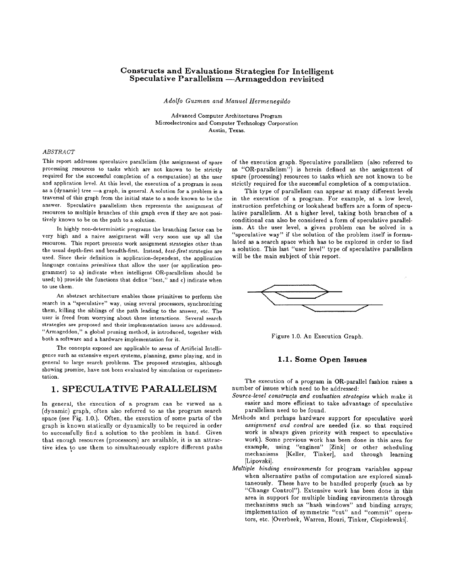## Constructs and Evaluations Strategies for Intelligent Speculative Parallelism —Armageddon revisited

*Adolfo Guzman and Manuel Hermenegildo* 

Advanced Computer Architectures Program Microelectronics and Computer Technology Corporation Austin, Texas.

#### *ABSTRACT*

This report addresses speculative parallelism (the assignment of spare processing resources to tasks which are not known to be strictly required for the successful completion of a computation) at the user and application level. At this level, the execution of a program is seen as a (dynamic) tree —a graph, in general. A solution for a problem is a traversal of this graph from the initial state to a node known to be the answer. Speculative parallelism then represents the assignment of resources to multiple branches of this graph even if they are not positively known to be on the path to a solution.

In highly non-deterministic programs the branching factor can be very high and a naive assignment will very soon use up all the resources. This report presents work assignment strategies other than the usual depth-first and breadth-first. Instead, *best-first* strategies are used. Since their definition is application-dependent, the application language contains *primitives* that allow the user (or application programmer) to a) indícate when intelligent OR-parallelism should be used; b) provide the functions that define "best," and c) indícate when to use them.

An abstract architecture enables those primitives to perform the search in a "speculative" way, using several processors, synchronizing them, killing the siblings of the path leading to the answer, etc. The user is freed from worrying about these interactions. Several search strategies are proposed and their implementation issues are addressed. "Armageddon," a global pruning method, is introduced, together with both a software and a hardware implementation for it.

The concepts exposed are applicable to areas of Artificial Intelligence such as extensive expert systems, planning, game playing, and in general to large search problems. The proposed strategies, although showing promise, have not been evaluated by simulation or experimentation.

# 1. SPECULATIVE PARALLELISM

In general, the execution of a program can be viewed as a (dynamic) graph, often also referred to as the program search space (see Fig. 1.0.). Often, the execution of some parts of the graph is known statically or dynamically to be required in order to successfully find a solution to the problem in hand. Given that enough resources (processors) are available, it is an attractive idea to use them to simultaneously explore different paths

of the execution graph. Speculative parallelism (also referred to as "OR-parallelism") is herein defined as the assignment of spare (processing) resources to tasks which are not known to be strictly required for the successful completion of a computation.

This type of parallelism can appear at many different levels in the execution of a program. For example, at a low level, instruction prefetching or lookahead buffers are a form of speculative parallelism. At a higher level, taking both branches of a conditional can also be considered a form of speculative parallelism. At the user level, a given problem can be solved in a "speculative way" if the solution of the problem itself is formulated as a search space which has to be explored in order to find a solution. This last "user level" type of speculative parallelism will be the main subject of this report.



Figure 1.0. An Execution Graph.

## 1.1. Some Open Issues

The execution of a program in OR-parallel fashion raises a number of issues which need to be addressed:

- *Source-level constructs and evaluation strategies* which make it easier and more eflicient to take advantage of speculative parallelism need to be found.
- Methods and perhaps hardware support for speculative *work assignment and control* are needed (i.e. so that required work is always given priority with respect to speculative work). Some previous work has been done in this area for example, using "engines" [Zink] or other scheduling mechanisms [Keller, Tinker], and through learning [Lipovski].
- *Múltiple binding environments* for program variables appear when alternative paths of computation are explored simultaneously. These have to be handled properly (such as by "Change Control"). Extensive work has been done in this area in support for multiple binding environments through mechanisms such as "hash Windows" and binding arrays; implementation of symmetric "cut" and "commit" operators, etc. [Overbeek, Warren, Houri, Tinker, Ciepielewski].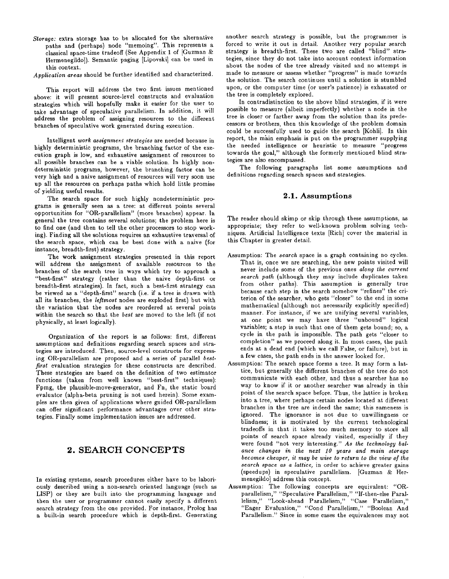Storage: extra storage has to be allocated for the alternative paths and (perhaps) node "memoing". This represents a classical space-time tradeoff (See Appendix 1 of [Guzman & Hermenegildo]). Semantic paging [Lipovski] can be used in this context.

*Application áreas* should be further identified and characterized.

This report will address the two first issues mentioned above: it will present source-level constructs and evaluation strategies which will hopefully make it easier for the user to take advantage of speculative parallelism. In addition, it will address the problem of assigning resources to the different branches of speculative work generated during execution.

Intelligent *work assignment strategies* are needed because in highly deterministic programs, the branching factor of the execution graph is low, and exhaustive assignment of resources to all possible branches can be a viable solution. In highly nondeterministic programs, however, the branching factor can be very high and a naive assignment of resources will very soon use up all the resources on perhaps paths which hold little promise of yielding useful results.

The search space for such highly nondeterministic programs is generally seen as a tree: at different points several opportunities for "OR-parallelism" (more branches) appear. In general the tree contains several solutions; the problem here is to find one (and then to tell the other processors to stop working). Finding all the solutions requires an exhaustive traversal of the search space, which can be best done with a naive (for instance, breadth-first) strategy.

The work assignment strategies presented in this report will address the assignment of available resources to the branches of the search tree in ways which try to approach a "best-first" strategy (rather than the naive depth-first or breadth-first strategies). In fact, such a best-first strategy can be viewed as a "depth-first" search (i.e. if a tree is drawn with all its branches, the *leftmost* nodes are exploded first) but with the variation that the nodes are reordered at several points within the search so that the *best* are moved to the left (if not physically, at least logically).

Organization of the report is as follows: first, different assumptions and definitíons regarding search spaces and strategies are introduced. Then, source-level constructs for expressing OR-parallelism are proposed and a series of parallel *bestfirst* evaluation strategies for these constructs are described. These strategies are based on the definition of two estimator functions (taken from well known "best-first" techniques): Fpmg, the plausible-move-generator, and Fn, the static board evaluator (alpha-beta pruning is not used herein). Some examples are then given of applications where guided OR-parallelism can offer significant performance advantages over other strategies. Finally some implementation issues are addressed.

# 2. SEARCH CONCEPTS

In existing systems, search procedures either have to be laboriously described using a non-search oriented language (such as LISP) or they are built into the programming language and then the user or programmer cannot easily specify a different search strategy from the one provided. For instance, Prolog has a built-in search procedure which is depth-first. Generating another search strategy is possible, but the programmer is forced to write it out in detail. Another very popular search strategy is breadth-first. These two are called "blind" strategies, since they do not take into account context information about the nodes of the tree already visited and no attempt is made to measure or assess whether "progress" is made towards the solution. The search continues until a solution is stumbled upon, or the computer time (or user's patience) is exhausted or the tree is completely explored.

In contradistinction to the above blind strategies, if it were possible to measure (albeit imperfectly) whether a node in the tree is closer or farther away from the solution than its predecessors or brothers, then this knowledge of the problem domain could be successfully used to guide the search [Kohli]. In this report, the main emphasis is put on the programmer supplying the needed intelligence or heuristic to measure "progress towards the goal," although the formerly mentioned blind strategies are also encompassed.

The following paragraphs list some assumptions and definitions regarding search spaces and strategies.

# 2.1. Assumptions

The reader should skimp or skip through these assumptions, as appropriate; they refer to well-known problem solving techniques. Artificial Intelligence texts [Richj cover the material in this Chapter in greater detail.

- Assumption: The *search* space is a graph containing no cycles. That is, once we are searching, the new points visited will never include some of the previous ones *along the current search path* (although they may include duplicates taken from other paths). This assumption is generally true because each step in the search somehow "refines" the criterion of the searcher, who gets "closer" to the end in some mathematical (although not necessarily explicitly specified) manner. For instance, if we are unifying several variables, at one point we may have three "unbound" logical variables; a step is such that one of them gets bound; so, a cycle in the path is impossible. The path gets "closer to completion" as we proceed along it. In most cases, the path ends at a dead end (which we cali False, or failure), but in a few cases, the path ends in the answer looked for.
- Assumption: The search space forms a tree. It may form a lattice, but generally the different branches of the tree do not communicate with each other, and thus a searcher has no way to know if it or another searcher was already in this point of the search space before. Thus, the lattice is broken into a tree, where perhaps certain nodes located at different branches in the tree are indeed the same; this sameness is ignored. The ignorance is not due to unwillingness or blindness; it is motivated by the current technological tradeoffs in that it takes too much memory to store all points of search space already visited, especially if they were found "not very interesting." *As the technology balance changes in the next 10 years and main storage becomes cheaper, it may be wise to return to the view of the search space as a lattice,* in order to achieve greater gains (speedups) in speculative parallelism. [Guzman & Hermenegildo] address this concept.
- Assumption: The following concepts are equivalent: "ORparallelism," "Speculative Parallelism," "If-then-else Parallelism," "Look-ahead Parallelism," "Case Parallelism," "Eager Evaluation," "Cond Parallelism," "Boolean And Parallelism." Since in some cases the equivalences may not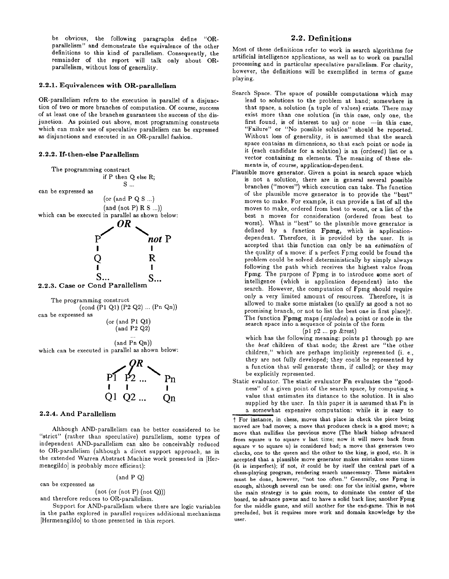be obvious, the following paragraphs define "ORparallelism" and demónstrate the equivalence of the other deflnitions to this kind of parallelism. Consequently, the remainder of the report will talk only about ORparallelism, without loss of generality.

# **2.2.1. Equivalences with OR-parallelism**

OR-parallelism refers to the execution in parallel of a disjunction of two or more branches of computation. Of course, success of at least one of the branches guarantees the success of the disjunction. As pointed out above, most programming constructs which can make use of speculative parallelism can be expressed as disjunctions and executed in an OR-parallel fashion.

#### **2.2.2. If-then-else Parallelism**



The programming construct  $(\text{cond (P1 Q1) (P2 Q2) ... (Pn Qn)})$ can be expressed as (or (and P1  $Q1$ )  $($ and P<sub>2</sub> $Q2)$ 

 $(and Pn Qn))$ which can be executed in parallel as shown below:



#### **2.2.4. And Parallelism**

Although AND-parallelism can be better considered to be "strict" (rather than speculative) parallelism, some types of independent AND-parallelism can also be conceivably reduced to OR-parallelism (although a direct support approach, as in the extended Warren Abstract Machine work presented in [Hermenegildo] is probably more efficient):

# (and P Q)

can be expressed as

 $(not (or (not P) (not Q)))$ 

and therefore reduces to OR-parallelism.

Support for AND-parallelism where there are logic variables in the paths explored in parallel requires additional mechanisms [Hermenegildo] to those presented in this report.

# 2.2. Definitions

Most of these definitions refer to work in search algorithms for artificial intelligence applications, as well as to work on parallel processing and in particular speculative parallelism. For clarity, however, the definitions will be exemplified in terms of game playing.

- Search Space. The space of possible computations which may lead to solutions to the problem at hand; somewhere in that space, a solution (a tuple of values) exists. There may exist more than one solution (in this case, only one, the first found, is of interest to us) or none —in this case, "Failure" or "No possible solution" should be reported. Without loss of generality, it is assumed that the search space contains m dimensions, so that each point or node in it (each candidate for a solution) is an (ordered) list or a vector containing m elements. The meaning of these elements is, of course, application-dependent.
- Plausible move generator. Given a point in search space which is not a solution, there are in general several possible branches ("moves") which execution can take. The function of the plausible move generator is to provide the "best" moves to make. For example, it can provide a list of all the moves to make, ordered from best to worst, or a list of the best n moves for consideration (ordered from best to worst). What is "best" to the plausible move generator is defined by a function Fpmg, which is applicationdependent. Therefore, it is provided by the user. It is accepted that this function can only be an *estimation* of the quality of a move: if a perfect Fpmg could be found the problem could be solved deterministically by simply always following the path which receives the highest value from Fpmg. The purpose of Fpmg is to introduce gome sort of intelligence (which is application dependent) into the search. However, the computation of Fpmg should require only a very limited amount of resources. Therefore, it is allowed to make some mistakes (to qualify as good a not so promising branch, or not to list the best one in first place)f. The function **Fpmg** maps (explodes) a point or node in the search space into a sequence of points of the form

(pl p2 ... pp &rest)

which has the following meaning: points pl through pp are the *best* children of that node; the &rest are "the other children," which are perhaps implicitly represented (i. e., they are not fully developed; they could be represented by a function that will generate them, if called); or they may be explicitly represented.

Static evaluator. The static evaluator Fn evaluates the "goodness" of a given point of the search space, by computing a valué that estimates its distance to the solution. It is also supplied by the user. In this paper it is assumed that Fn is a somewhat expensive computation: while it is easy to

| For instance, in chess, moves that place in check the piece being moved are bad moves; a move that produces check is a good move; a move that nullifies the previous move (The black bishop advanced from square u to square v last time; now it will move back from square v to square u) is considered bad; a move that generates two checks, one to the queen and the other to the king, is good, etc. It is accepted that a plausible move generator makes mistakes some times (it is imperfect); if not, *it* could be by itself the central part of a chess-playing program, rendering search unnecessary. These mistakes must be done, however, "not too often." Generally, one Fpmg is enough, although several can be used: one for the initial game, where the main strategy is to gain room, to domínate the center of the board, to advance pawns and to have a solid back line; another Fpmg for the middle game, and still another for the end-game. This is not precluded, but it requires more work and domain knowledge by the user.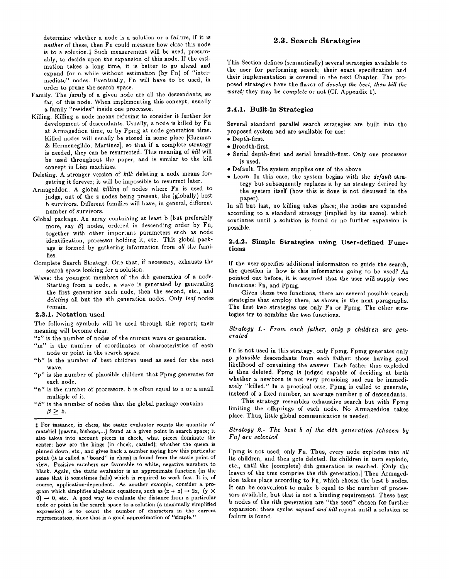determine whether a node is a solution or a failure, if it is *neither* of these, then Fn could measure how close this node is to a solution.<sup>†</sup> Such measurement will be used, presumably, to decide upon the expansion of this node. If the estimation takes a long time, it is better to go ahead and expand for a while without estimation (by Fn) of "intermedíate" nodes. Eventually, Fn will have to be used, in order to prune the search space.

- Family. The *family* of a given node are all the descendants, so far, of this node. When implementing this concept, usually a family "resides" inside one processor.
- Killing. Killing a node means refusing to consider it further for development of descendants. Usually, a node is killed by Fn at Armageddon time, or by Fpmg at node generation time. Killed nodes will usually be stored in some place [Guzman & Hermenegildo, Martinez], so that if a complete strategy is needed, they can be resurrected. This meaning of *kill* will be used throughout the paper, and is similar to the kili concept in Lisp machines.
- Deleting. A stronger versión of *kill:* deleting a node means forgetting it forever; it will be impossible to resurrect later.
- Armageddon. A global *killing* of nodes where Fn is used to judge, out of the z nodes being present, the (globally) best b survivors. Different families will have, in general, different number of survivors.
- Global package. An array containing at least b (but preferably more, say  $\beta$ ) nodes, ordered in descending order by Fn, together with other important parameters such as node identifícatión, processor holding it, etc. This global package is formed by gathering information from *all* the families.
- Complete Search Strategy. One that, if necessary, exhausts the search space looking for a solution.
- Wave: the youngest members of the *dth* generation of a node. Starting from a node, a wave is generated by generating the first generation such node, then the second, etc., and *deleting* all but the dth generation nodes. Only *leaf* nodes remain.

#### **2.3.1 . Notatio n use d**

The following symbols will be used through this report; their meaning will become clear.

"z" is the number of nodes of the current wave or generation.

- "m" is the number of coordinates or characteristics of each node or point in the search space.
- "b" is the number of best children used as seed for the next wave.
- "p" is the number of plausible children that Fpmg generates for each node.
- "n" is the number of processors. b is often equal to n or a small multiple of it.
- " $\beta$ " is the number of nodes that the global package contains.  $\beta \geq b$ .

 $\ddagger$  For instance, in chess, the static evaluator counts the quantity of materiel (pawns, bishops,...) found at a given point in search space; it also takes into account pieces in check, what pieces domínate the center; how are the kings (in check, castled); whether the queen is pinned down, etc., and gives back a number saying how this particular point (it is called a "board" in chess) is found from the static point of view. Positive numbers are favorable to white, negative numbers to black. Again, the static evaluator is an approximate function (in the sense that it sometimes fails) which is required to work fast. It is, of course, application-dependent. As another example, consider a program which simplifies algebraic equations, such as  $(x + x) \rightarrow 2x$ ,  $(y \times$  $0) \rightarrow 0$ , etc. A good way to evaluate the distance from a particular node or point in the search space to a solution (a maximally simplified expression) is to count the number of characters in the current representation, since that is a good approximation of "simple."

# 2.3. Search Strategies

This Section defines (semantically) several strategies available to the user for performing search; their exact specification and their implementation is covered in the next Chapter. The proposed strategies have the flavor of *develop the best, then kill the worst;* they may be *complete* or not (Cf. Appendix 1).

#### **2.4.1 . Built-i n Strategie s**

Several standard parallel search strategies are built into the proposed system and are available for use:

- Depth-first.
- Breadth-first.
- Serial depth-first and serial breadth-first. Only one processor is used.
- Default. The system supplies one of the above.
- Learn. In this case, the system begins with the *default* strategy but subsequently replaces it by an strategy derived by the system itself (how this is done is not discussed in the paper).

In all but last, no killing takes place; the nodes are expanded according to a standard strategy (implied by its name), which continues until a solution is found or no further expansion is possible.

# **2.4.2 . Simpl e Strategie s usin g User-define d Func tion s**

**If** the user specifies additional information to guide the search, the question is: how is this information going to be used? As pointed out before, it is assumed that the user will supply two functions: Fn, and Fpmg.

Given those two functions, there are several possible search strategies that employ them, as shown in the next paragraphs. The first two strategies use only Fn or Fpmg. The other strategies try to combine the two functions.

*Strategy 1.- From each father, only p children are generated* 

Fn is not used in this strategy, only Fpmg. Fpmg generates only p *plausible* descendants from each father: those having good likelihood of containing the answer. Each father thus exploded is then deleted. Fpmg is judged capable of deciding at birth whether a newborn is not very promising and can be immediately "killed." In a practical case, Fpmg is called to generate, instead of a fixed number, an average number p of descendants.

This strategy resembles exhaustive search but with Fpmg limiting the ofisprings of each node. No Armageddon takes place. Thus, little global communication is needed.

#### *Strategy 2.- The best b of the dth generation (chosen by Fn) are selected*

Fpmg is not used; only Fn. Thus, every node explodes into *all*  its children, and then gets deleted. Its children in turn explode, etc., until the (complete) dth generation is reached. [Only the leaves of the tree comprise the dth generation.] Then Armageddon takes place according to Fn, which choses the best b nodes. It can be convenient to make b equal to the number of processors available, but that is not a binding requirement. These best b nodes of the dth generation are "the seed" chosen for further expansión; these cycles *expand and kill* repeat until a solution or failure is found.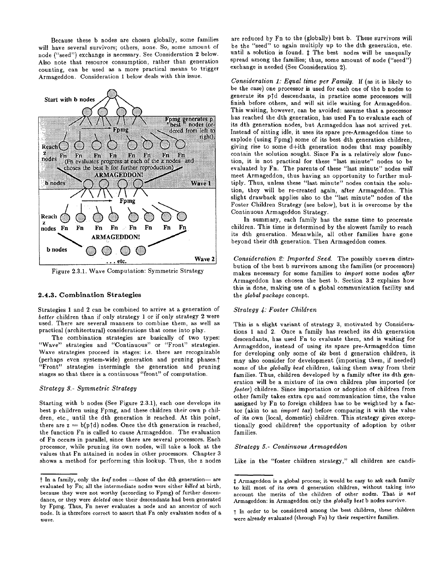Because these b nodes are chosen globally, some families will have several survivors; others, none. So, some amount of node ("seed") exchange is necessary. See Consideration 2 below. Also note that resource consumption, rather than generation counting, can be used as a more practical means to tiigger Armageddon. Consideration 1 below deals with this issue.



Figure 2.3.1. Wave Computation: Symmetric Strategy

#### 2.4.3. Combination Strategies

Strategies 1 and 2 can be combined to arrive at a generation of *better* children than if only strategy 1 or if only strategy 2 were used. There are several manners to combine them, as well as practical (architectural) considerations that come into play.

The combination strategies are basically of two types: "Wave" strategies and "Continuous" or "Front" strategies. Wave strategies proceed in stages: i.e. there are recognizable (perhaps even system-wide) generation and pruning phases.<sup>†</sup> "Front" strategies intermingle the generation and pruning stages so that there is a continuous "front" of computation.

# *Strategy S.- Symmetric Strategy*

Starting with b nodes (See Figure 2.3.1), each one develops its best p children using Fpmg, and these children their own p children, etc., until the dth generation is reached. At this point, there are  $z = b(p \dagger d)$  nodes. Once the dth generation is reached, the function Fn is called to cause Armageddon. The evaluation of Fn occurs in parallel, since there are several processors. Each processor, while pruning its own nodes, will take a look at the values that Fn attained in nodes in other processors. Chapter 3 shows a method for performing this lookup. Thus, the z nodes

are reduced by Fn to the (globally) best b. These survivors will be the "seed" to again multiply up to the dth generation, etc. until a solution is found.  $\ddagger$  The best nodes will be unequally spread among the families; thus, some amount of node ("seed") exchange is needed (See Consideration 2).

*Consideration 1: Equal time per Family.* If (as it is likely to be the case) one processor is used for each one of the b nodes to generate its pfd descendants, in practice some processors will finish before others, and will sit idle waiting for Armageddon. This waiting, however, can be avoided: assume that a processor has reached the dth generation, has used Fn to evaluate each of its dth generation nodes, but Armageddon has not arrived yet. Instead of sitting idle, it uses its spare pre-Armageddon time to explode (using Fpmg) some of its best dth generation children, giving rise to some d+ith generation nodes that may possibly contain the solution sought. Since Fn is a relatively slow function, it is not practical for these "last minute" nodes to be evaluated by Fn. The parents of these "last minute" nodes *will*  meet Armageddon, thus having an opportunity to further multiply. Thus, unless these "last minute" nodes contain the solution, they will be re-created again, after Armageddon. This slight drawback applies also to the "last minute" nodes of the Foster Children Strategy (see below), but it is overcome by the Continuous Armageddon Strategy.

In summary, each family has the same time to procreate children. This time is determined by the slowest family to reach its dth generation. Meanwhile, all other families have gone beyond their dth generation. Then Armageddon comes.

*Consideration 2: Imported Seed.* The possibly uneven distnbution of the best b survivors among the families (or processors) makes necessary for some families to *import* some nodes *after*  Armageddon has chosen the best b. Section 3.2 explains how this is done, making use of a global communication facility and the *global package* concept.

## *Strategy 4: Foster Children*

This is a slight variant of strategy 3, motivated by Considerations 1 and 2. Once a family has reached its dth generation descendants, has used Fn to evaluate them, and is waiting for Armageddon, instead of using its spare pre-Armageddon time for developing only some of *its* best d generation children, it may also consider for development (importing them, if needed) some of the *globally best* children, taking them away from their families. Thus, children developed by a family after its dth generation will be a mixture of its own children plus imported (or *foster)* children. Since importation or adoption of children from other family takes extra epu and communication time, the valué assigned by Fn to foreign children has to be weighted by a factor (akin to an *import tax)* before comparing it with the valué of its own (local, domestic) children. This strategy gives exceptionally good childrenf the opportunity of adoption by other families.

## *Strategy 5.- Continuous Armageddon*

Like in the "foster children strategy," all children are candi-

 $\dagger$  In a family, only the *leaf* nodes —those of the dth generation— are evaluated by Fn; all the intermedíate nodes were either *killed* at birth, because they were not worthy (according to Fpmg) of further deseendance, or they were *deleted* once their descendants had been generated by Fpmg. Thus, Fn never evaluates a node and an ancestor of such node. It is therefore correct to assert that Fn only evaluates nodes of a wave.

*Í* Armageddon is a global process; it would be easy to ask each family to kill most of its own d generation children, without taking into account the merits of the children of other nodes. That is *not*  Armageddon: in Armageddon only the *globally best* b nodes survive.

 $\uparrow$  In order to be considered among the best children, these children were already evaluated (through Fn) by their respective families.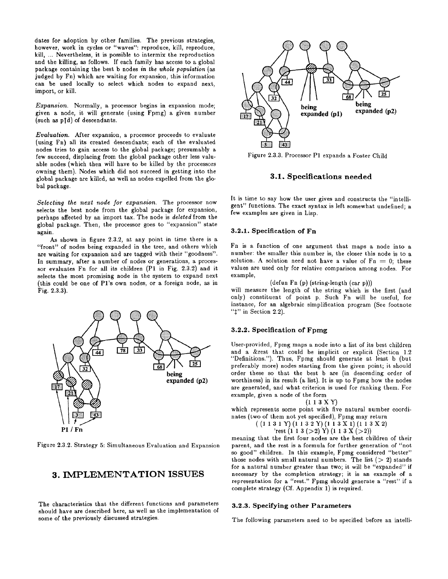dates for adoption by other families. The previous strategies, however, work in cycles or "waves": reproduce, kill, reproduce, kill, ... Nevertheless, it is possible to intermix the reproduction and the killing, as follows. If each family has access to a global package containing the best b nodes *in the whole population* (as judged by Fn) which are waiting for expansion, this information can be used locally to select which nodes to expand next, import, or kill.

*Expansión.* Normally, a processor begins in expansión mode; given a node, it will generate (using Fpmg) a given number (such as pfd) of descendants.

*Evaluation.* After expansion, a processor proceeds to evaluate (using Fn) all its created descendants; each of the evaluated nodes tries to gain access to the global package; presumably a few succeed, displacing from the global package other less valuable nodes (which then will have to be killed by the processors owning them). Nodes which did not succeed in getting into the global package are killed, as well as nodes expelled from the global package.

*Selecting the next node for expansión.* The processor now selects the best node from the global package for expansión, perhaps affected by an import tax. The node is *deleted* from the global package. Then, the processor goes to "expansión" state again.

As shown in figure 2.3.2, at any point in time there is a "front" of nodes being expanded in the tree, and others which are waiting for expansion and are tagged with their "goodness". In summary, after a number of nodes or generations, a processor evaluates Fn for all its children (Pl in Fig. 2.3.2) and it selects the most promising node in the system to expand next (this could be one of Pl's own nodes, or a foreign node, as in Fig. 2.3.3).



Figure 2.3.2. Strategy 5: Simultaneous Evaluation and Expansión

# 3. IMPLEMENTATION ISSUES

The characteristics that the different functions and parameters should have are described here, as well as the implementation of some of the previously discussed strategies.



Figure 2.3.3. Processor P1 expands a Foster Child

# 3.1. Specifications needed

It is time to say how the user gives and constructs the "intelligent" functions. The exact syntax is left somewhat undefined; a few examples are given in Lisp.

## **3.2.1. Specification of Fn**

Fn is a function of one argument that maps a node into a number: the smaller this number is, the closer this node is to a solution. A solution need not have a value of  $Fn = 0$ ; these values are used only for relative comparison among nodes. For example,

$$
(defun Fn(p) (string-length (car p)))
$$

will measure the length of the string which is the first (and only) constituent of point p. Such Fn will be useful, for instance, for an algebraic simplification program (See footnote "<sup>1"</sup> in Section 2.2).

## **3.2.2. Specification of Fpmg**

User-provided, Fpmg maps a node into a list of its best children and a &rest that could be implicit or explicit (Section 1.2 "Definitions."). Thus, Fpmg should generate at least b (but preferably more) nodes starting from the given point; it should order these so that the best b are (in descending order of worthiness) in its result (a list). It is up to Fpmg how the nodes are generated, and what criterion is used for fanking them. For example, given a node of the form

$$
(1 1 3 X Y)
$$

which represents some point with five natural number coordinates (two of them not yet specified), Fpmg may return

$$
(\ (1 \ 1 \ 3 \ 1 \ Y) \ (1 \ 1 \ 3 \ 2 \ Y) \ (1 \ 1 \ 3 \ X \ 1) \ (1 \ 1 \ 3 \ X \ 2)
$$

'rest  $(1\ 1\ 3\ (>2)\ Y)$   $(1\ 1\ 3\ X\ (>2))$ meaning that the first four nodes are the best children of their parent, and the rest is a formula for further generation of "not so good" children. In this example, Fpmg considered "better" those nodes with small natural numbers. The list  $( > 2)$  stands for a natural number greater than two; it will be "expanded" if necessary by the completion strategy; it is an example of a representation for a "rest." Fpmg should generate a "rest" if a complete strategy (Cf. Appendix 1) is required.

#### **3.2.3. Specifying other Parameter s**

The following parameters need to be specified before an intelli-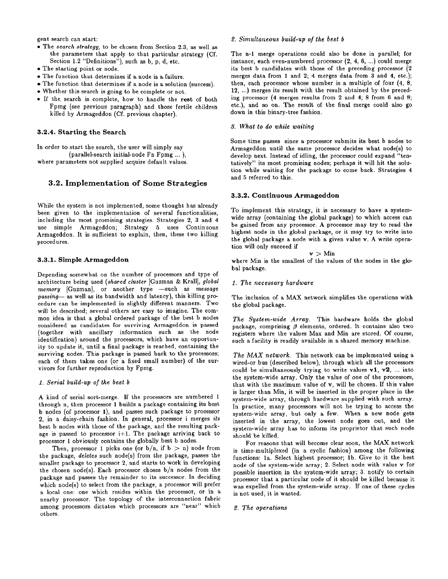#### gent search can start:

- The *search strategy,* to be chosen from Section 2.3, as well as the parameters that apply to that particular strategy (Cf. Section 1.2 "Definitions"), such as b, p, d, etc.
- The starting point or node.
- The function that determines if a node is a failure.
- The function that determines if a node is a solution (success).
- Whether this search is going to be complete or not.
- If the. search is complete, how to handle the rest of both Fpmg (see previous paragraph) and those fertile children killed by Armageddon (Cf. previous chapter).

# **3.2.4 . Startin g th e Searc h**

In order to start the search, the user will simply say (parallel-search initial-node Fn Fpmg ... ), where parameters not supplied acquire default values.

# 3.2. Implementation of Some Strategies

While the system is not implemented, some thought has already been given to the implementation of several function alities, including the most promising strategies. Strategies 2, 3 and 4 use simple Armageddon; Strategy 5 uses Continuous Armageddon. It is sufficient to explain, then, these two killing procedures.

## **3.3.1 . Simpl e Armageddo n**

Depending somewhat on the number of processors and type of architecture being used *(shared cluster* [Guzman & Krall], *global memory* [Guzman], or another type —such as *message passing*— as well as its bandwidth and latency), this killing procedure can be implemented in slightly different manners. Two will be described; several others are easy to imagine. The common idea is that a global ordered package of the best b nodes considered as candidates for surviving Armageddon is passed (together with ancillary information such as the node identification) around the processors, which have an opportunity to update it, until a final package is reached, containing the surviving nodes. This package is passed back to the processors; each of them takes one (or a fixed small number) of the survivors for further reproduction by Fpmg.

## *1. Serial build-up of the best b*

A kind of serial sort-merge. If the processors are numbered 1 through n, then processor 1 builds a package containing its best b nodes (of processor 1), and passes such package to processor 2, in a daisy-chain fashion. In general, processor i merges *its*  best b nodes with those of the package, and the resulting package is passed to processor  $i+1$ . The package arriving back to processor 1 obviously contains the globally best b nodes.

Then, processor 1 picks one (or  $b/n$ , if  $b > n$ ) node from the package, *deletes* such node(s) from the package, passes the smaller package to processor 2, and starts to work in developing the chosen node(s). Each processor choses b/n nodes from the package and passes the remainder to its successor. In deciding which node(s) to select from the package, a processor will prefer a local one: one which resides within the processor, or in a nearby processor. The topology of the interconnection fabríc among processors dictates which processors are "near" which others.

#### *2. Simultaneous build-up of the best b*

The n-1 merge operations could also be done in parallel; for instance, each even-numbered processor (2, 4, 6, ...) could merge its best b candidates with those of the preceding processor (2 merges data from 1 and 2; 4 merges data from 3 and 4, etc.); then, each processor whose number is a multiple of four  $(4, 8, 1)$ 12, ...) merges its result with the result obtained by the preceding processor (4 merges results from 2 and 4; 8 from 6 and 8; etc.), and so on. The result of the final merge could also go down in this binary-tree fashion.

#### *3. What to do while waiting*

Some time passes since a processor submits its best b nodes to Armageddon until the same processor decides what node(s) to develop next. Instead of idling, the processor could expand "tentatively" its most promising nodes; perhaps it will hit the solution while waiting for the package to come back. Strategies 4 and 5 referred to this.

## **3.3.2 . Continuou s Armageddo n**

To implement this strategy, it is necessary to have a systemwide array (containing the global package) to which access can be gained from any processor. A processor may try to read the highest node in the global package, or it may try to write into the global package a node with a given value  $v$ . A write operation will only succeed if

 $v >$  Min

where Min is the smallest of the values of the nodes in the global package.

#### *1. The necessary hardware*

The inclusion of a MAX network simplifies the operations with the global package.

*The System-wide Array.* This hardware holds the global package, comprising  $\beta$  elements, ordered. It contains also two registers where the values Max and Min are stored. Of course, such a facility is readily available in a shared memory machine.

*The MAX network.* This network can be implemented using a wired-or bus (described below), through which all the processors could be simultaneously trying to write values  $v1$ ,  $v2$ , ... into the system-wide array. Only the value of one of the processors, that with the maximum value of  $v$ , will be chosen. If this value is larger than Min, it will be inserted in the proper place in the system-wide array, through hardware supplied with such array. In practice, many processors will not be trying to access the system-wide array, but only a few. When a new node gets inserted in the array, the lowest node goes out, and the system-wide array has to inform its proprietor that such node should be killed.

For reasons that will become clear soon, the MAX network is time-multiplexed (in a cyclic fashion) among the following functions: 1a. Select highest processor; 1b. Give to it the best node of the system-wide array; 2. Select node with value  $\mathbf v$  for possible insertion in the system-wide array; 3. notify to certain processor that a particular node of it should be killed because it was expelled from the system-wide array. If one of these cycles is not used, it is wasted.

#### *2. The operations*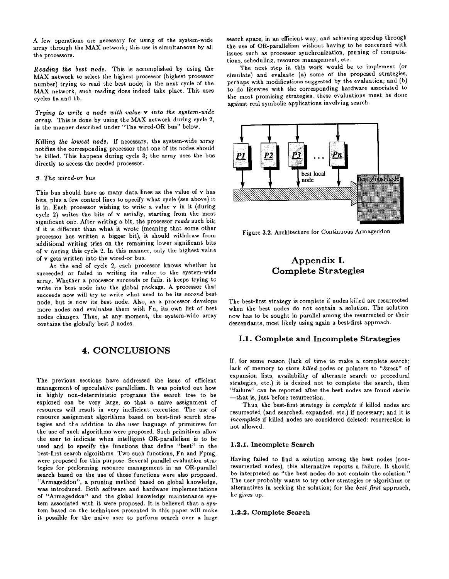A few operations are necessary for using of the system-wide array through the MAX network; this use is simultaneous by all the processors.

*Reading the best node.* This is accomplished by using the MAX network to select the highest processor (highest processor number) trying to read the best node; in the next cycle of the MAX network, such reading does indeed take place. This uses cycles 1a and 1b.

*Trying to write a node with valué* v *into the system-wide array.* This is done by using the MAX network during cycle 2, in the manner described under "The wired-OR bus" below.

*Killing the lowest node.* If necessary, the system-wide array notifies the corresponding processor that one of its nodes should be killed. This happens during cycle 3; the array uses the bus directly to access the needed processor.

#### *8. The wired-or bus*

This bus should have as many data lines as the value of v has bits, plus a few control lines to specify what cycle (see above) it is in. Each processor wishing to write a value v in it (during cycle 2) writes the bits of v serially, starting from the most significant one. After writing a bit, the processor *reads* such bit; if it is different than what it wrote (meaning that some other processor has written a bigger bit), it should withdraw from additional writing tries on the remaining lower significant bits of v during this cycle 2. In this manner, only the highest valué of v gets written into the wired-or bus.

At the end of cycle 2, each processor knows whether he succeeded or failed in writing its valué to the system-wide array. Whether a processor succeeds or fails, it keeps trying to write its best node into the global package. A processor that succeeds now will try to write what used to be its *second* best node, but is now its best node. Also, as a processor develops more nodes and evaluates them with Fn, its own list of best nodes changes. Thus, at any moment, the system-wide array contains the globally best  $\beta$  nodes.

# 4. CONCLUSIONS

The previous sections have addressed the issue of efficient management of speculative parallelism. It was pointed out how in highly non-deterministic programs the search tree to be explored can be very large, so that a naive assignment of resources will result in very inefficient execution. The use of resource assignment algorithms based on best-first search strategies and the addition to the user language of primitives for the use of such algorithms were proposed. Such primitives allow the user to indícate when intelligent OR-parallelism is to be used and to specify the functions that define "best" in the best-first search algorithms. Two such functions, Fn and Fpmg, were proposed for this purpose. Several parallel evaluation strategies for performing resource management in an OR-parallel search based on the use of those functions were also proposed. "Armageddon", a pruning method based on global knowledge, was introduced. Both software and hardware implementations of "Armageddon" and the global knowledge maintenance system associated with it were proposed. It is believed that a system based on the techniques presented in this paper will make it possible for the naive user to perform search over a large

search space, in an efficient way, and achieving speedup through the use of OR-parallelism without having to be concerned with issues such as processor synchronization, pruning of computations, scheduling, resource management, etc.

The next step in this work would be to implement (or simulate) and evaluate (a) some of the proposed strategies, perhaps with modifications suggested by the evaluation; and (b) to do likewise with the corresponding hardware associated to the most promising strategies. these evaluations must be done against real symbolic applications ínvolving search.



Figure 3.2. Architecture for Continuous Armageddon

# Appendix I. Complete Strategies

The best-first strategy is complete if nodes killed are resurrected when the best nodes do not contain a solution. The solution now has to be sought in parallel among the resurrected or their descendants, most likely using again a best-first approach.

# 1.1. Complete and In complete Strategies

If, for some reason (lack of time to make a complete search; lack of memory to store *killed* nodes or pointers to "&rest" of expansión lists, availability of altérnate search or procedural strategies, etc.) it is desired not to complete the search, then "failure" can be reported after the best nodes are found sterile —that is, just before resurrection.

Thus, the best-first strategy is *complete* if killed nodes are resurrected (and searched, expanded, etc.) if necessary; and it is *incomplete* if killed nodes are considered deleted: resurrection is not allowed.

#### **1.2.1 . Incomplet e Searc h**

Having failed to find a solution among the best nodes (nonresurrected nodes), this alternative reports a failure. It should be interpreted as "the best nodes do not contain the solution." The user probably wants to try other strategies or algorithms or alternatives in seeking the solution; for the *best first* approach, he gives up.

### 1.2.2. Complete Search